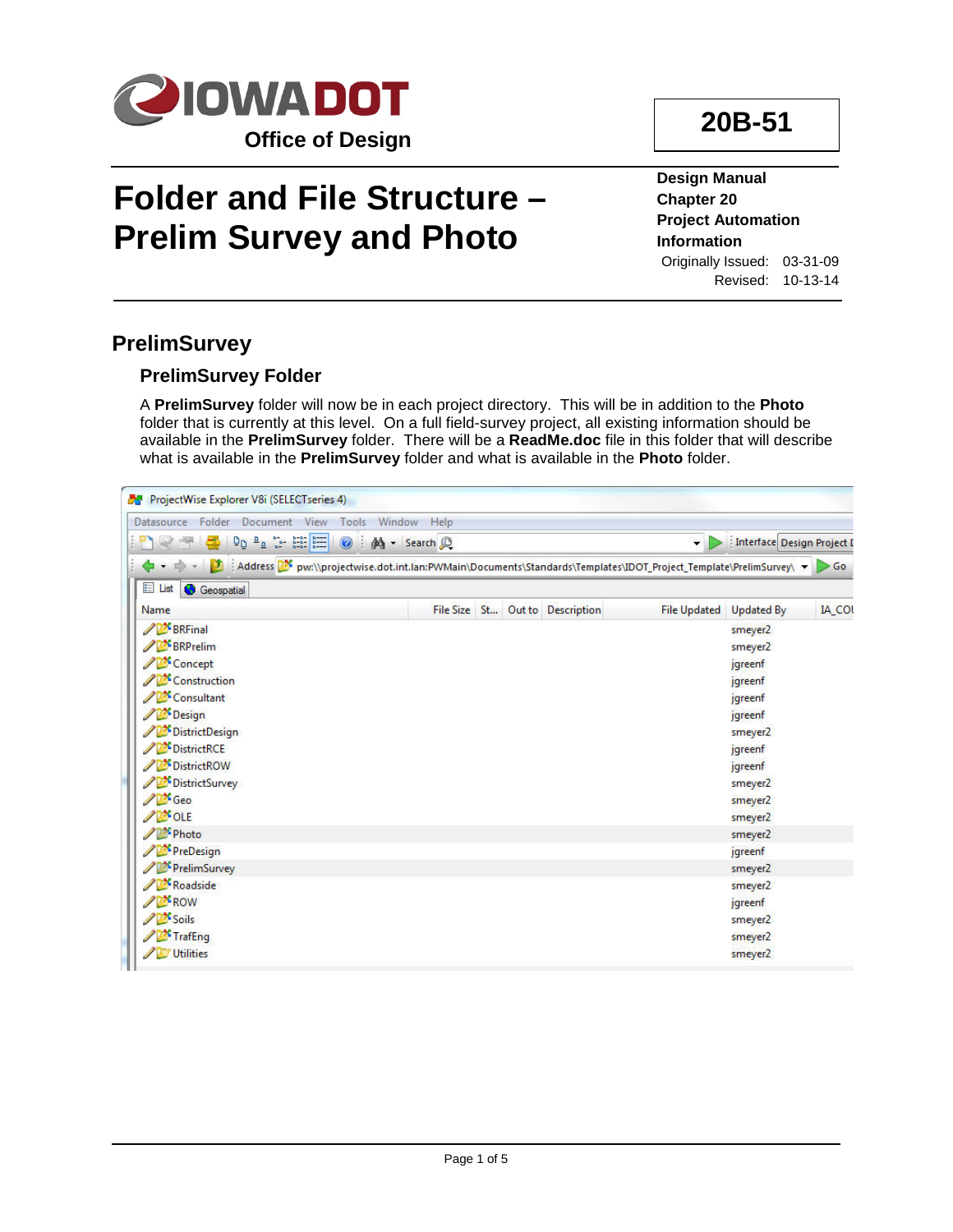

# **Folder and File Structure – Prelim Survey and Photo**

**Design Manual Chapter 20 Project Automation Information** Originally Issued: 03-31-09

**20B-51**

Revised: 10-13-14

### **PrelimSurvey**

#### **PrelimSurvey Folder**

A **PrelimSurvey** folder will now be in each project directory. This will be in addition to the **Photo** folder that is currently at this level. On a full field-survey project, all existing information should be available in the **PrelimSurvey** folder. There will be a **ReadMe.doc** file in this folder that will describe what is available in the **PrelimSurvey** folder and what is available in the **Photo** folder.

| Document View<br>Folder<br>Datasource                                                                                                                                 | Tools Window Help               |                                 |                     |                            |               |
|-----------------------------------------------------------------------------------------------------------------------------------------------------------------------|---------------------------------|---------------------------------|---------------------|----------------------------|---------------|
| s<br>$-1$ $\leq$                                                                                                                                                      | <b>O</b> : $M_1$ - Search $D_2$ |                                 | $\mathbf{v}$        | Interface Design Project I |               |
| → → → → <mark>→ → → → → → →</mark> → Address 2 <sup>3</sup> % pw:\\projectwise.dot.int.lan:PWMain\Documents\Standards\Templates\IDOT_Project_Template\PrelimSurvey\ → |                                 |                                 |                     |                            | Go<br>D       |
| El List   Geospatial                                                                                                                                                  |                                 |                                 |                     |                            |               |
| Name                                                                                                                                                                  |                                 | File Size St Out to Description | <b>File Updated</b> | <b>Updated By</b>          | <b>IA COL</b> |
| BRFinal                                                                                                                                                               |                                 |                                 |                     | smeyer2                    |               |
| BRPrelim                                                                                                                                                              |                                 |                                 |                     | smeyer2                    |               |
| Concept                                                                                                                                                               |                                 |                                 |                     | jgreenf                    |               |
| Construction                                                                                                                                                          |                                 |                                 |                     | jgreenf                    |               |
| Consultant                                                                                                                                                            |                                 |                                 |                     | jgreenf                    |               |
| Design                                                                                                                                                                |                                 |                                 |                     | jgreenf                    |               |
| DistrictDesign                                                                                                                                                        |                                 |                                 |                     | smeyer2                    |               |
| DistrictRCE                                                                                                                                                           |                                 |                                 |                     | jgreenf                    |               |
| DistrictROW                                                                                                                                                           |                                 |                                 |                     | jgreenf                    |               |
| DistrictSurvey                                                                                                                                                        |                                 |                                 |                     | smeyer2                    |               |
| $\sqrt{2}$ Geo                                                                                                                                                        |                                 |                                 |                     | smeyer2                    |               |
| <b>DE OLE</b>                                                                                                                                                         |                                 |                                 |                     | smeyer2                    |               |
| Photo                                                                                                                                                                 |                                 |                                 |                     | smeyer2                    |               |
| PreDesign                                                                                                                                                             |                                 |                                 |                     | jgreenf                    |               |
| PrelimSurvey                                                                                                                                                          |                                 |                                 |                     | smeyer2                    |               |
| Roadside                                                                                                                                                              |                                 |                                 |                     | smeyer2                    |               |
| ROW                                                                                                                                                                   |                                 |                                 |                     | jgreenf                    |               |
| Soils <b>Sol</b>                                                                                                                                                      |                                 |                                 |                     | smeyer2                    |               |
| TrafEng                                                                                                                                                               |                                 |                                 |                     | smeyer2                    |               |
| / Utilities                                                                                                                                                           |                                 |                                 |                     | smeyer2                    |               |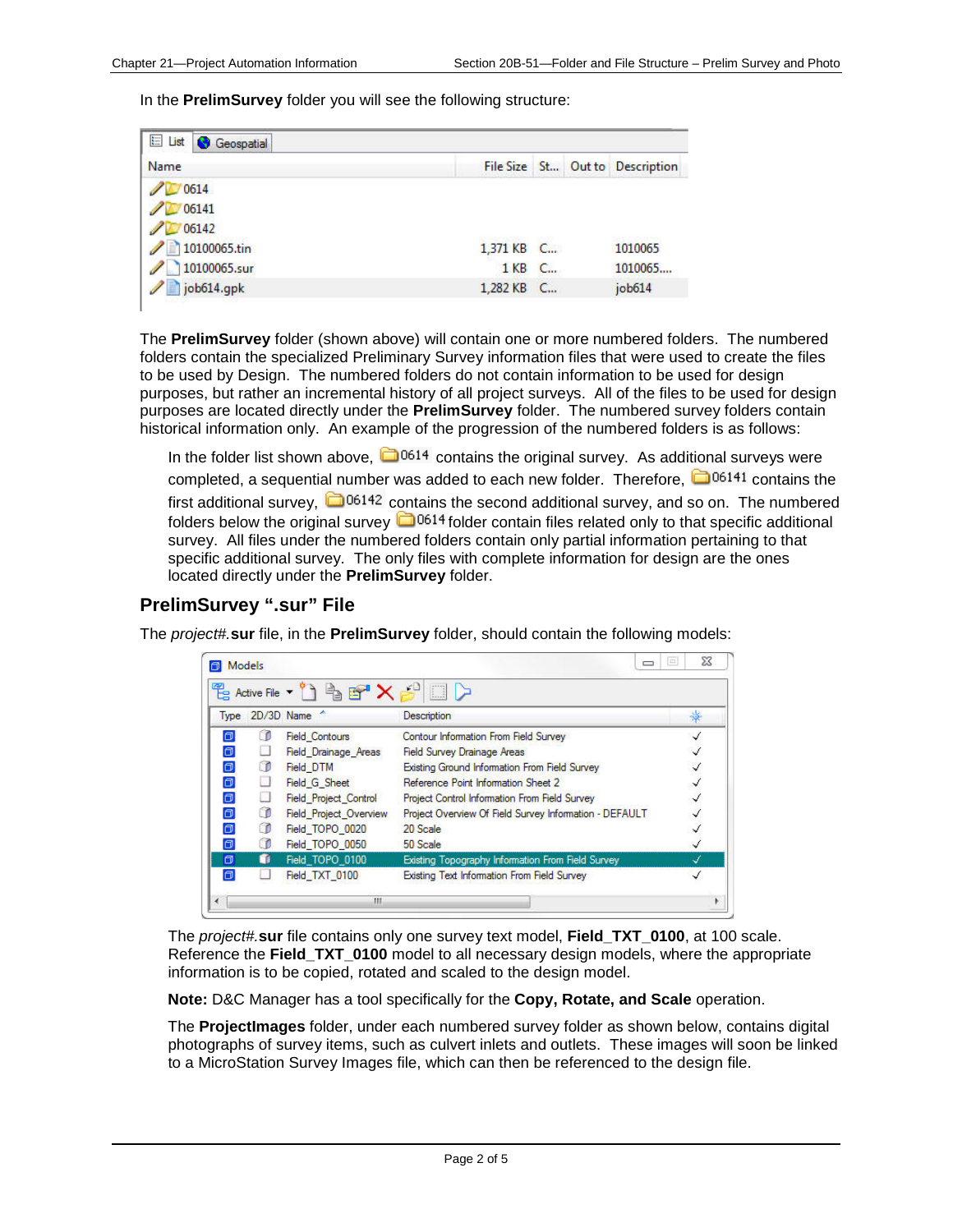In the **PrelimSurvey** folder you will see the following structure:

| Name              |                 |                  | File Size St Out to Description |
|-------------------|-----------------|------------------|---------------------------------|
| $\bigcup$ 0614    |                 |                  |                                 |
| 106141            |                 |                  |                                 |
| 206142            |                 |                  |                                 |
| 10100065.tin      | 1,371 KB C      |                  | 1010065                         |
| 10100065.sur      | 1 <sub>KB</sub> | $C_{\text{max}}$ | 1010065                         |
| $\log$ job614.gpk | 1,282 KB C      |                  | job <sub>614</sub>              |

The **PrelimSurvey** folder (shown above) will contain one or more numbered folders. The numbered folders contain the specialized Preliminary Survey information files that were used to create the files to be used by Design. The numbered folders do not contain information to be used for design purposes, but rather an incremental history of all project surveys. All of the files to be used for design purposes are located directly under the **PrelimSurvey** folder. The numbered survey folders contain historical information only. An example of the progression of the numbered folders is as follows:

In the folder list shown above,  $\Box$  0614 contains the original survey. As additional surveys were completed, a sequential number was added to each new folder. Therefore,  $\Box$  06141 contains the first additional survey,  $\Box$  06142 contains the second additional survey, and so on. The numbered folders below the original survey  $\Box$  0614 folder contain files related only to that specific additional survey. All files under the numbered folders contain only partial information pertaining to that specific additional survey. The only files with complete information for design are the ones located directly under the **PrelimSurvey** folder.

#### **PrelimSurvey ".sur" File**

|        |                 | $\mathbb{E}$ Active File $\mathbb{P} \setminus \mathbb{P}^1$ | $\Box$                                                 |   |
|--------|-----------------|--------------------------------------------------------------|--------------------------------------------------------|---|
|        | Type 2D/3D Name |                                                              | Description                                            | 溱 |
| Θ      | <b>D</b>        | <b>Field Contours</b>                                        | Contour Information From Field Survey                  |   |
| σ      |                 | Field Drainage Areas                                         | <b>Field Survey Drainage Areas</b>                     |   |
| Θ      | 0               | Field DTM                                                    | Existing Ground Information From Field Survey          |   |
| Θ      |                 | Field G Sheet                                                | Reference Point Information Sheet 2                    |   |
| $\Box$ | L.              | <b>Field Project Control</b>                                 | <b>Project Control Information From Field Survey</b>   |   |
| Θ      | Œ               | <b>Field Project Overview</b>                                | Project Overview Of Field Survey Information - DEFAULT |   |
| $\Box$ | œ               | Field TOPO 0020                                              | 20 Scale                                               |   |
| σ      | Œ               | Field TOPO 0050                                              | 50 Scale                                               |   |
| σ      | п               | Field TOPO 0100                                              | Existing Topography Information From Field Survey      |   |
| σ      |                 | Field TXT 0100                                               | Existing Text Information From Field Survey            |   |

The *project#.***sur** file, in the **PrelimSurvey** folder, should contain the following models:

The *project#.***sur** file contains only one survey text model, **Field\_TXT\_0100**, at 100 scale. Reference the **Field\_TXT\_0100** model to all necessary design models, where the appropriate information is to be copied, rotated and scaled to the design model.

**Note:** D&C Manager has a tool specifically for the **Copy, Rotate, and Scale** operation.

The **ProjectImages** folder, under each numbered survey folder as shown below, contains digital photographs of survey items, such as culvert inlets and outlets. These images will soon be linked to a MicroStation Survey Images file, which can then be referenced to the design file.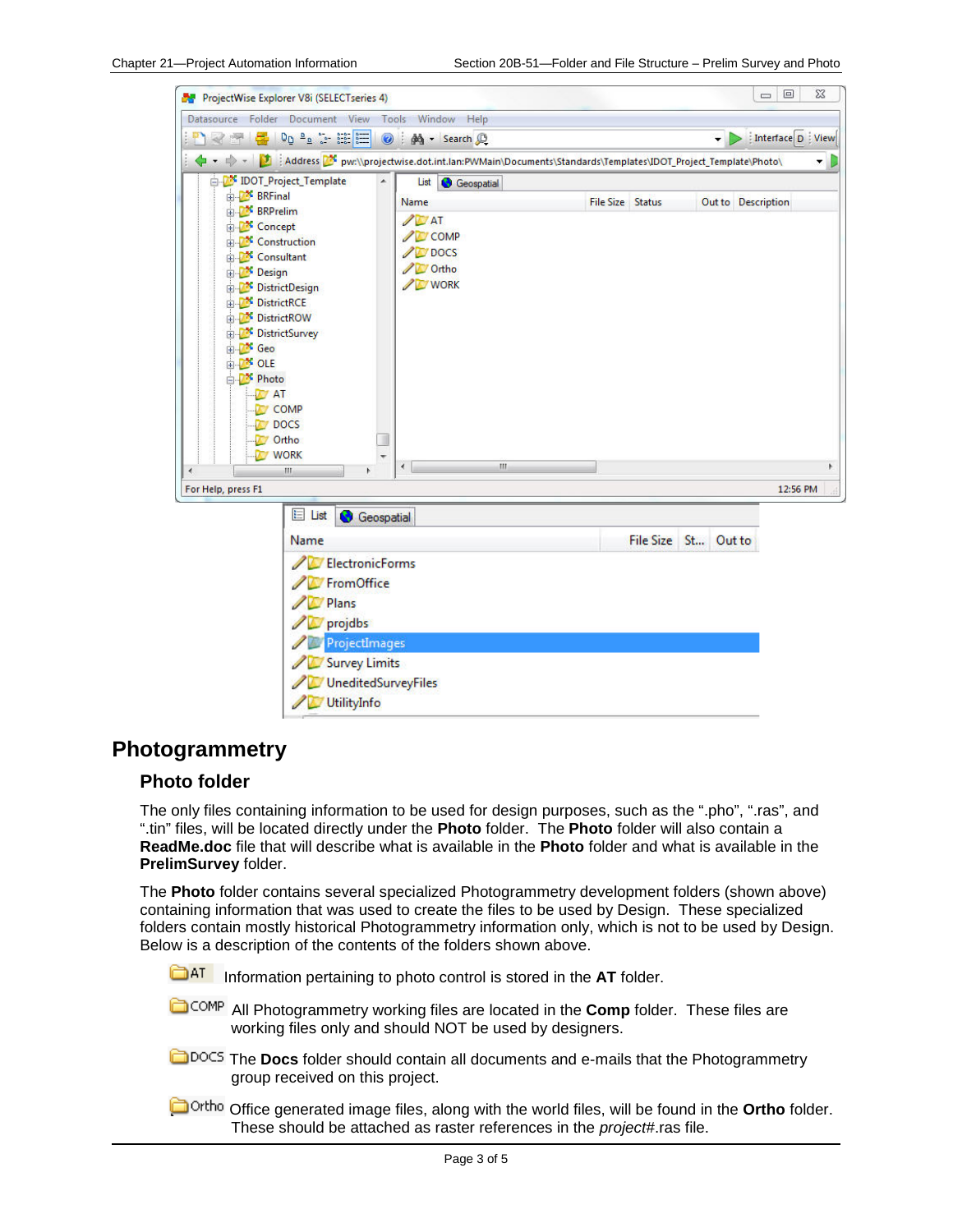

### **Photogrammetry**

#### **Photo folder**

The only files containing information to be used for design purposes, such as the ".pho", ".ras", and ".tin" files, will be located directly under the **Photo** folder. The **Photo** folder will also contain a **ReadMe.doc** file that will describe what is available in the **Photo** folder and what is available in the **PrelimSurvey** folder.

The **Photo** folder contains several specialized Photogrammetry development folders (shown above) containing information that was used to create the files to be used by Design. These specialized folders contain mostly historical Photogrammetry information only, which is not to be used by Design. Below is a description of the contents of the folders shown above.

**Information pertaining to photo control is stored in the AT folder.** 

**COMP** All Photogrammetry working files are located in the **Comp** folder. These files are working files only and should NOT be used by designers.

- **The Docs** folder should contain all documents and e-mails that the Photogrammetry group received on this project.
- **Office generated image files, along with the world files, will be found in the Ortho** folder. These should be attached as raster references in the *project#*.ras file.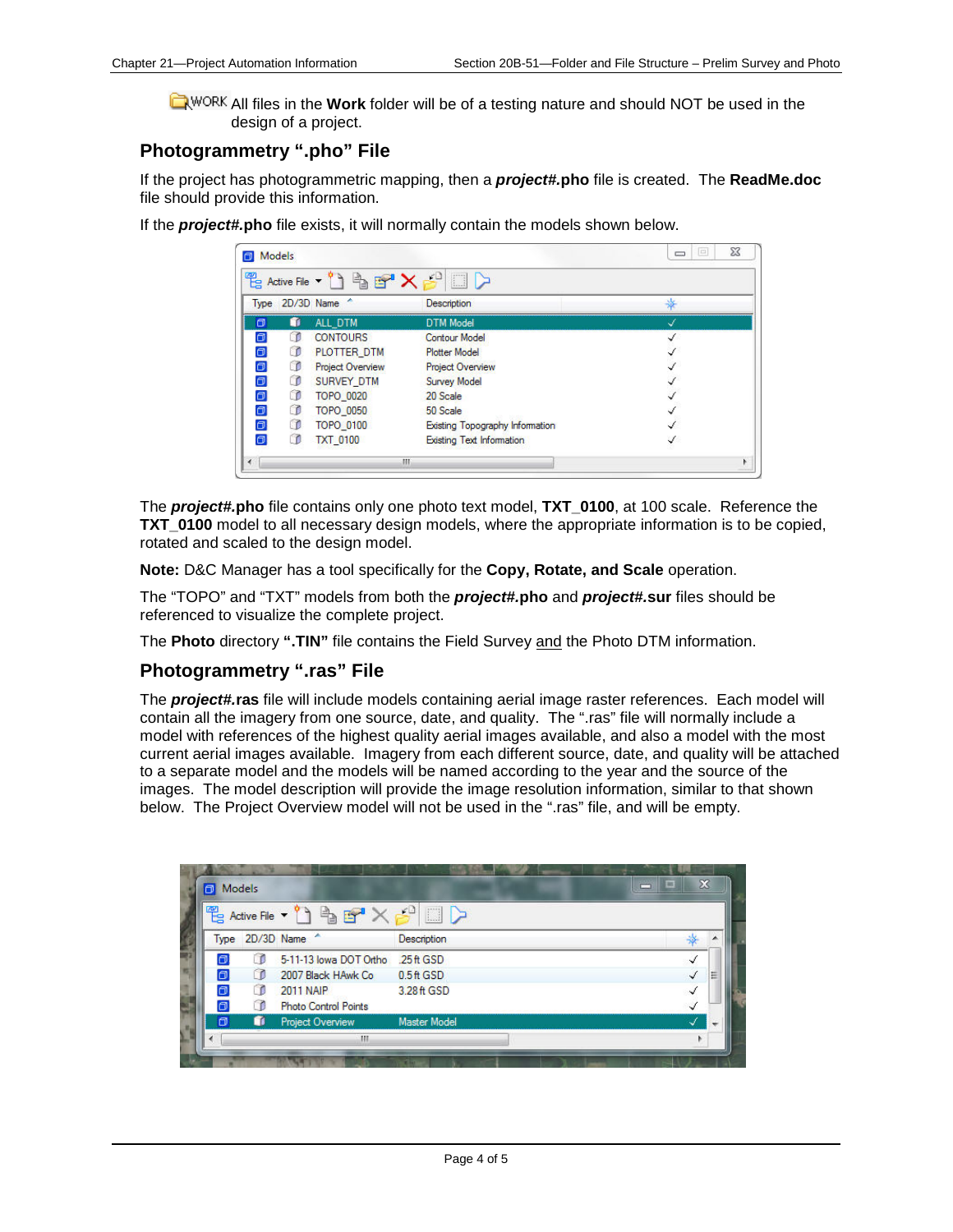All files in the **Work** folder will be of a testing nature and should NOT be used in the design of a project.

#### **Photogrammetry ".pho" File**

If the project has photogrammetric mapping, then a *project#.***pho** file is created. The **ReadMe.doc** file should provide this information.

|   |    | $\mathbb{E}$ Active File $\mathbf{v} \cap \mathbb{R}$ of $\mathbf{X}$ of $\Box$ $\Box$ |                                  |   |
|---|----|----------------------------------------------------------------------------------------|----------------------------------|---|
|   |    | Type 2D/3D Name                                                                        | <b>Description</b>               | 岑 |
| σ | m  | ALL DTM                                                                                | <b>DTM Model</b>                 |   |
| σ |    | <b>CONTOURS</b>                                                                        | <b>Contour Model</b>             | ✓ |
| Θ | n  | PLOTTER DTM                                                                            | <b>Plotter Model</b>             |   |
| Θ | n  | Project Overview                                                                       | <b>Project Overview</b>          |   |
| σ | n  | <b>SURVEY DTM</b>                                                                      | <b>Survey Model</b>              |   |
| σ | n  | <b>TOPO 0020</b>                                                                       | 20 Scale                         |   |
| Θ | n  | TOPO 0050                                                                              | 50 Scale                         |   |
| σ | ۲ß | TOPO 0100                                                                              | Existing Topography Information  |   |
| σ |    | <b>TXT 0100</b>                                                                        | <b>Existing Text Information</b> |   |

If the *project#.***pho** file exists, it will normally contain the models shown below.

The *project#.***pho** file contains only one photo text model, **TXT\_0100**, at 100 scale. Reference the **TXT\_0100** model to all necessary design models, where the appropriate information is to be copied, rotated and scaled to the design model.

**Note:** D&C Manager has a tool specifically for the **Copy, Rotate, and Scale** operation.

The "TOPO" and "TXT" models from both the *project#.***pho** and *project#.***sur** files should be referenced to visualize the complete project.

The **Photo** directory **".TIN"** file contains the Field Survey and the Photo DTM information.

#### **Photogrammetry ".ras" File**

The *project#.***ras** file will include models containing aerial image raster references. Each model will contain all the imagery from one source, date, and quality. The ".ras" file will normally include a model with references of the highest quality aerial images available, and also a model with the most current aerial images available. Imagery from each different source, date, and quality will be attached to a separate model and the models will be named according to the year and the source of the images. The model description will provide the image resolution information, similar to that shown below. The Project Overview model will not be used in the ".ras" file, and will be empty.

|        |     | Type 2D/3D Name ^           | Description         |                   |
|--------|-----|-----------------------------|---------------------|-------------------|
| σ      | Γß  | 5-11-13 lowa DOT Ortho      | .25 ft GSD          | √                 |
| $\Box$ | m   | 2007 Black HAwk Co          | $0.5f$ t GSD        | $\checkmark$<br>Ξ |
| Θ      | n   | <b>2011 NAIP</b>            | 3.28 ft GSD         | √                 |
| 同      | ſ B | <b>Photo Control Points</b> |                     |                   |
| 同      | п   | Project Overview            | <b>Master Model</b> |                   |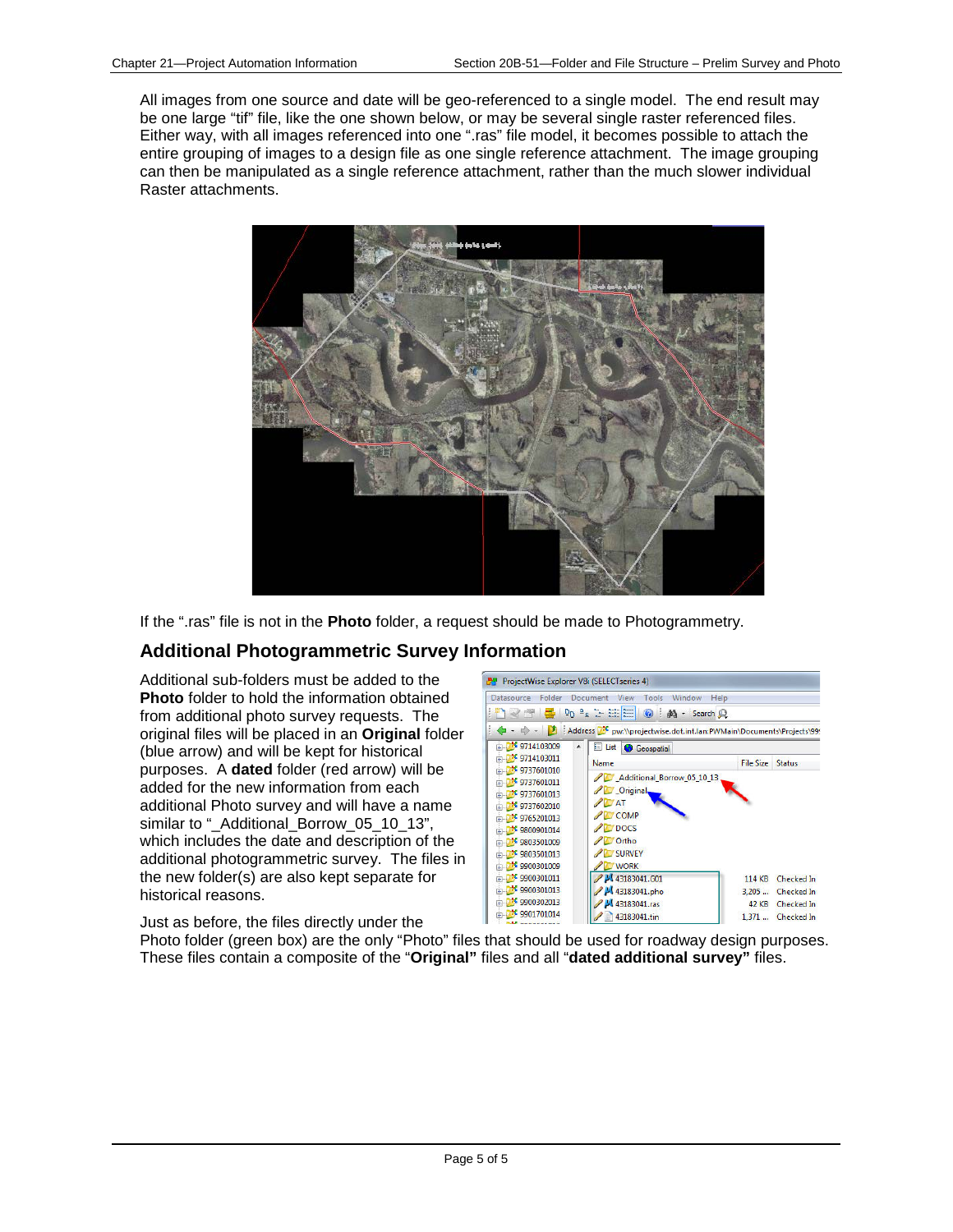All images from one source and date will be geo-referenced to a single model. The end result may be one large "tif" file, like the one shown below, or may be several single raster referenced files. Either way, with all images referenced into one ".ras" file model, it becomes possible to attach the entire grouping of images to a design file as one single reference attachment. The image grouping can then be manipulated as a single reference attachment, rather than the much slower individual Raster attachments.



If the ".ras" file is not in the **Photo** folder, a request should be made to Photogrammetry.

#### **Additional Photogrammetric Survey Information**

Additional sub-folders must be added to the **Photo** folder to hold the information obtained from additional photo survey requests. The original files will be placed in an **Original** folder (blue arrow) and will be kept for historical purposes. A **dated** folder (red arrow) will be added for the new information from each additional Photo survey and will have a name similar to "\_Additional\_Borrow\_05\_10\_13", which includes the date and description of the additional photogrammetric survey. The files in the new folder(s) are also kept separate for historical reasons.



Just as before, the files directly under the

Photo folder (green box) are the only "Photo" files that should be used for roadway design purposes. These files contain a composite of the "**Original"** files and all "**dated additional survey"** files.